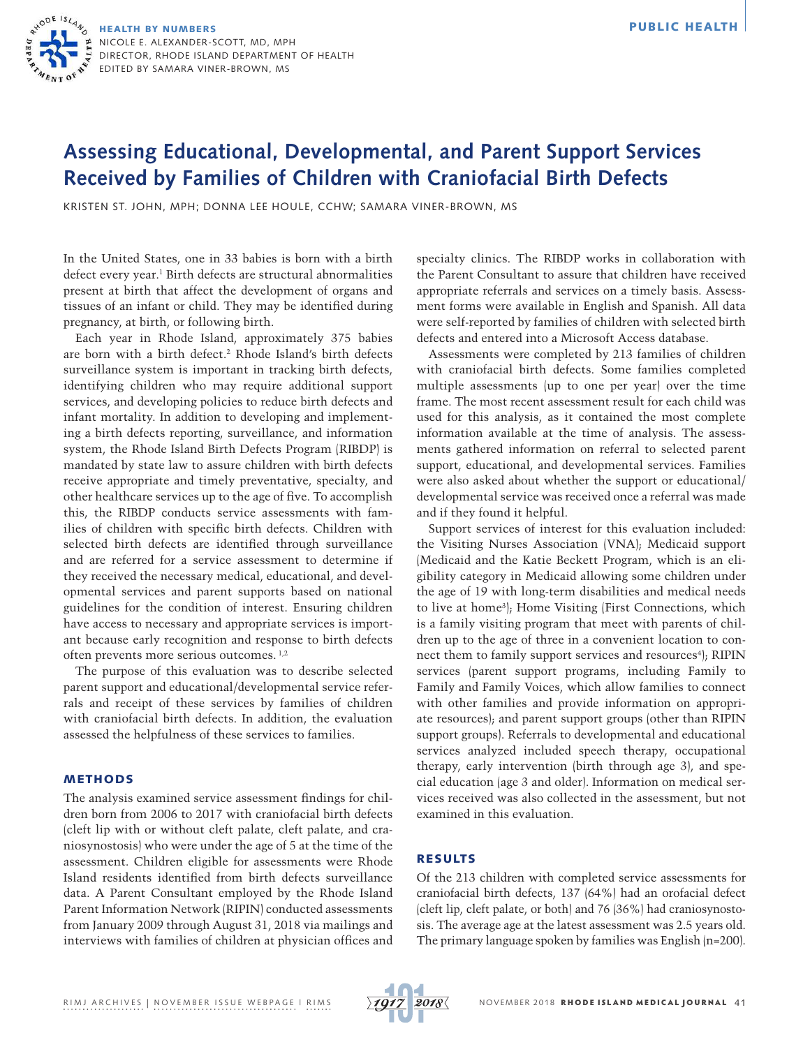# **Assessing Educational, Developmental, and Parent Support Services Received by Families of Children with Craniofacial Birth Defects**

KRISTEN ST. JOHN, MPH; DONNA LEE HOULE, CCHW; SAMARA VINER-BROWN, MS

In the United States, one in 33 babies is born with a birth defect every year.<sup>1</sup> Birth defects are structural abnormalities present at birth that affect the development of organs and tissues of an infant or child. They may be identified during pregnancy, at birth, or following birth.

Each year in Rhode Island, approximately 375 babies are born with a birth defect.2 Rhode Island's birth defects surveillance system is important in tracking birth defects, identifying children who may require additional support services, and developing policies to reduce birth defects and infant mortality. In addition to developing and implementing a birth defects reporting, surveillance, and information system, the Rhode Island Birth Defects Program (RIBDP) is mandated by state law to assure children with birth defects receive appropriate and timely preventative, specialty, and other healthcare services up to the age of five. To accomplish this, the RIBDP conducts service assessments with families of children with specific birth defects. Children with selected birth defects are identified through surveillance and are referred for a service assessment to determine if they received the necessary medical, educational, and developmental services and parent supports based on national guidelines for the condition of interest. Ensuring children have access to necessary and appropriate services is important because early recognition and response to birth defects often prevents more serious outcomes. 1,2

The purpose of this evaluation was to describe selected parent support and educational/developmental service referrals and receipt of these services by families of children with craniofacial birth defects. In addition, the evaluation assessed the helpfulness of these services to families.

#### METHODS

The analysis examined service assessment findings for children born from 2006 to 2017 with craniofacial birth defects (cleft lip with or without cleft palate, cleft palate, and craniosynostosis) who were under the age of 5 at the time of the assessment. Children eligible for assessments were Rhode Island residents identified from birth defects surveillance data. A Parent Consultant employed by the Rhode Island Parent Information Network (RIPIN) conducted assessments from January 2009 through August 31, 2018 via mailings and interviews with families of children at physician offices and specialty clinics. The RIBDP works in collaboration with the Parent Consultant to assure that children have received appropriate referrals and services on a timely basis. Assessment forms were available in English and Spanish. All data were self-reported by families of children with selected birth defects and entered into a Microsoft Access database.

Assessments were completed by 213 families of children with craniofacial birth defects. Some families completed multiple assessments (up to one per year) over the time frame. The most recent assessment result for each child was used for this analysis, as it contained the most complete information available at the time of analysis. The assessments gathered information on referral to selected parent support, educational, and developmental services. Families were also asked about whether the support or educational/ developmental service was received once a referral was made and if they found it helpful.

Support services of interest for this evaluation included: the Visiting Nurses Association (VNA); Medicaid support (Medicaid and the Katie Beckett Program, which is an eligibility category in Medicaid allowing some children under the age of 19 with long-term disabilities and medical needs to live at home3 ); Home Visiting (First Connections, which is a family visiting program that meet with parents of children up to the age of three in a convenient location to connect them to family support services and resources<sup>4</sup>); RIPIN services (parent support programs, including Family to Family and Family Voices, which allow families to connect with other families and provide information on appropriate resources); and parent support groups (other than RIPIN support groups). Referrals to developmental and educational services analyzed included speech therapy, occupational therapy, early intervention (birth through age 3), and special education (age 3 and older). Information on medical services received was also collected in the assessment, but not examined in this evaluation.

## RESULTS

Of the 213 children with completed service assessments for craniofacial birth defects, 137 (64%) had an orofacial defect (cleft lip, cleft palate, or both) and 76 (36%) had craniosynostosis. The average age at the latest assessment was 2.5 years old. The primary language spoken by families was English (n=200).

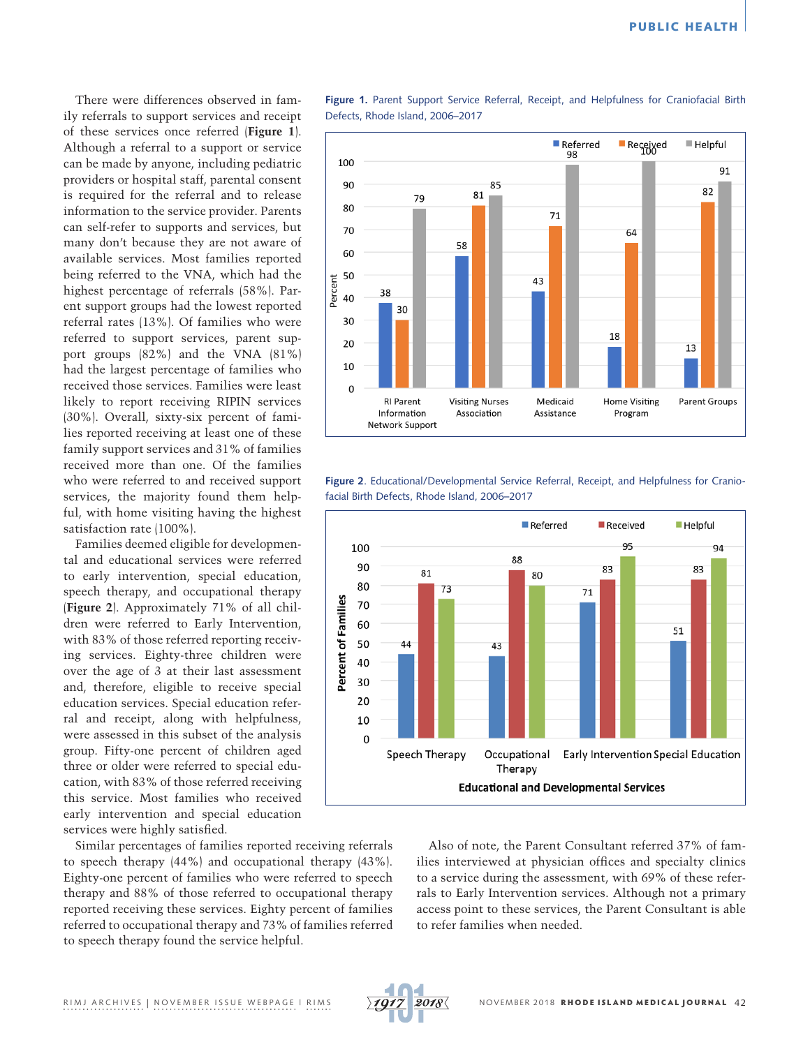There were differences observed in family referrals to support services and receipt of these services once referred (**Figure 1**). Although a referral to a support or service can be made by anyone, including pediatric providers or hospital staff, parental consent is required for the referral and to release information to the service provider. Parents can self-refer to supports and services, but many don't because they are not aware of available services. Most families reported being referred to the VNA, which had the highest percentage of referrals (58%). Parent support groups had the lowest reported referral rates (13%). Of families who were referred to support services, parent support groups (82%) and the VNA (81%) had the largest percentage of families who received those services. Families were least likely to report receiving RIPIN services (30%). Overall, sixty-six percent of families reported receiving at least one of these family support services and 31% of families received more than one. Of the families who were referred to and received support services, the majority found them helpful, with home visiting having the highest satisfaction rate (100%).

Families deemed eligible for developmental and educational services were referred to early intervention, special education, speech therapy, and occupational therapy (**Figure 2**). Approximately 71% of all children were referred to Early Intervention, with 83% of those referred reporting receiving services. Eighty-three children were over the age of 3 at their last assessment and, therefore, eligible to receive special education services. Special education referral and receipt, along with helpfulness, were assessed in this subset of the analysis group. Fifty-one percent of children aged three or older were referred to special education, with 83% of those referred receiving this service. Most families who received early intervention and special education services were highly satisfied.

Similar percentages of families reported receiving referrals to speech therapy (44%) and occupational therapy (43%). Eighty-one percent of families who were referred to speech therapy and 88% of those referred to occupational therapy reported receiving these services. Eighty percent of families referred to occupational therapy and 73% of families referred to speech therapy found the service helpful.



**Figure 1.** Parent Support Service Referral, Receipt, and Helpfulness for Craniofacial Birth Defects, Rhode Island, 2006–2017



**Figure 2**. Educational/Developmental Service Referral, Receipt, and Helpfulness for Craniofacial Birth Defects, Rhode Island, 2006–2017



Also of note, the Parent Consultant referred 37% of families interviewed at physician offices and specialty clinics to a service during the assessment, with 69% of these referrals to Early Intervention services. Although not a primary access point to these services, the Parent Consultant is able to refer families when needed.